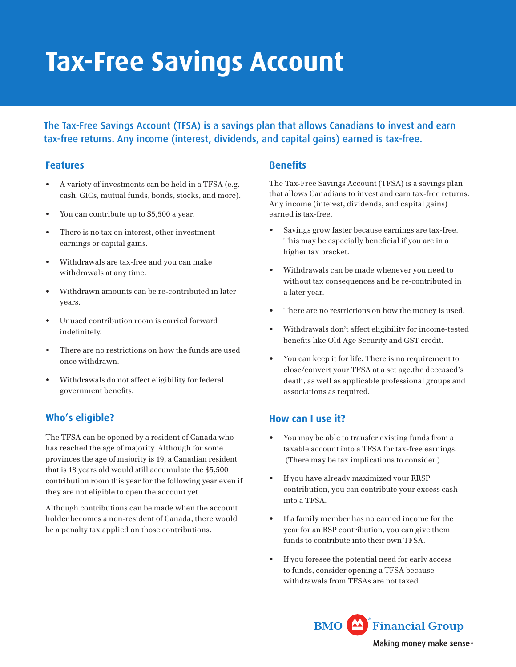# **Tax-Free Savings Account**

The Tax-Free Savings Account (TFSA) is a savings plan that allows Canadians to invest and earn tax-free returns. Any income (interest, dividends, and capital gains) earned is tax-free.

#### **Features**

- A variety of investments can be held in a TFSA (e.g. cash, GICs, mutual funds, bonds, stocks, and more).
- You can contribute up to \$5,500 a year.
- There is no tax on interest, other investment earnings or capital gains.
- Withdrawals are tax-free and you can make withdrawals at any time.
- Withdrawn amounts can be re-contributed in later years.
- Unused contribution room is carried forward indefinitely.
- There are no restrictions on how the funds are used once withdrawn.
- Withdrawals do not affect eligibility for federal government benefits.

## **Who's eligible?**

The TFSA can be opened by a resident of Canada who has reached the age of majority. Although for some provinces the age of majority is 19, a Canadian resident that is 18 years old would still accumulate the \$5,500 contribution room this year for the following year even if they are not eligible to open the account yet.

Although contributions can be made when the account holder becomes a non-resident of Canada, there would be a penalty tax applied on those contributions.

#### **Benefits**

The Tax-Free Savings Account (TFSA) is a savings plan that allows Canadians to invest and earn tax-free returns. Any income (interest, dividends, and capital gains) earned is tax-free.

- Savings grow faster because earnings are tax-free. This may be especially beneficial if you are in a higher tax bracket.
- Withdrawals can be made whenever you need to without tax consequences and be re-contributed in a later year.
- There are no restrictions on how the money is used.
- Withdrawals don't affect eligibility for income-tested benefits like Old Age Security and GST credit.
- You can keep it for life. There is no requirement to close/convert your TFSA at a set age.the deceased's death, as well as applicable professional groups and associations as required.

#### **How can I use it?**

- You may be able to transfer existing funds from a taxable account into a TFSA for tax-free earnings. (There may be tax implications to consider.)
- If you have already maximized your RRSP contribution, you can contribute your excess cash into a TFSA.
- If a family member has no earned income for the year for an RSP contribution, you can give them funds to contribute into their own TFSA.
- If you foresee the potential need for early access to funds, consider opening a TFSA because withdrawals from TFSAs are not taxed.

Financial Group **BMO** Making money make sense®